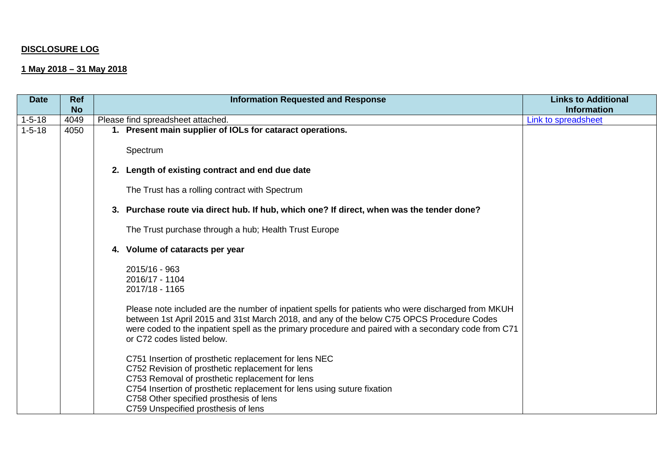## **DISCLOSURE LOG**

## **1 May 2018 – 31 May 2018**

| <b>Date</b>  | <b>Ref</b> | <b>Information Requested and Response</b>                                                                                                                                                                                                                                                                                             | <b>Links to Additional</b> |
|--------------|------------|---------------------------------------------------------------------------------------------------------------------------------------------------------------------------------------------------------------------------------------------------------------------------------------------------------------------------------------|----------------------------|
|              | <b>No</b>  |                                                                                                                                                                                                                                                                                                                                       | <b>Information</b>         |
| $1 - 5 - 18$ | 4049       | Please find spreadsheet attached.                                                                                                                                                                                                                                                                                                     | Link to spreadsheet        |
| $1 - 5 - 18$ | 4050       | 1. Present main supplier of IOLs for cataract operations.                                                                                                                                                                                                                                                                             |                            |
|              |            | Spectrum<br>2. Length of existing contract and end due date                                                                                                                                                                                                                                                                           |                            |
|              |            |                                                                                                                                                                                                                                                                                                                                       |                            |
|              |            | The Trust has a rolling contract with Spectrum                                                                                                                                                                                                                                                                                        |                            |
|              |            | 3. Purchase route via direct hub. If hub, which one? If direct, when was the tender done?                                                                                                                                                                                                                                             |                            |
|              |            | The Trust purchase through a hub; Health Trust Europe                                                                                                                                                                                                                                                                                 |                            |
|              |            | Volume of cataracts per year<br>4.                                                                                                                                                                                                                                                                                                    |                            |
|              |            | 2015/16 - 963<br>2016/17 - 1104                                                                                                                                                                                                                                                                                                       |                            |
|              |            | 2017/18 - 1165                                                                                                                                                                                                                                                                                                                        |                            |
|              |            | Please note included are the number of inpatient spells for patients who were discharged from MKUH<br>between 1st April 2015 and 31st March 2018, and any of the below C75 OPCS Procedure Codes<br>were coded to the inpatient spell as the primary procedure and paired with a secondary code from C71<br>or C72 codes listed below. |                            |
|              |            | C751 Insertion of prosthetic replacement for lens NEC<br>C752 Revision of prosthetic replacement for lens                                                                                                                                                                                                                             |                            |
|              |            | C753 Removal of prosthetic replacement for lens                                                                                                                                                                                                                                                                                       |                            |
|              |            | C754 Insertion of prosthetic replacement for lens using suture fixation                                                                                                                                                                                                                                                               |                            |
|              |            | C758 Other specified prosthesis of lens<br>C759 Unspecified prosthesis of lens                                                                                                                                                                                                                                                        |                            |
|              |            |                                                                                                                                                                                                                                                                                                                                       |                            |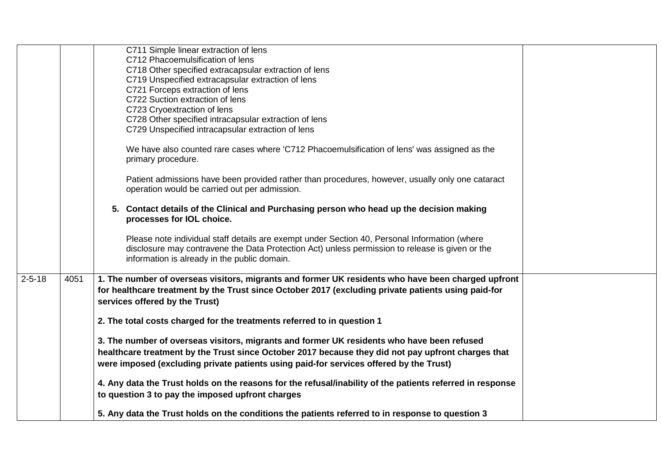|              |      | C711 Simple linear extraction of lens                                                                     |  |
|--------------|------|-----------------------------------------------------------------------------------------------------------|--|
|              |      | C712 Phacoemulsification of lens                                                                          |  |
|              |      | C718 Other specified extracapsular extraction of lens                                                     |  |
|              |      | C719 Unspecified extracapsular extraction of lens                                                         |  |
|              |      | C721 Forceps extraction of lens                                                                           |  |
|              |      | C722 Suction extraction of lens                                                                           |  |
|              |      | C723 Cryoextraction of lens                                                                               |  |
|              |      | C728 Other specified intracapsular extraction of lens                                                     |  |
|              |      | C729 Unspecified intracapsular extraction of lens                                                         |  |
|              |      | We have also counted rare cases where 'C712 Phacoemulsification of lens' was assigned as the              |  |
|              |      | primary procedure.                                                                                        |  |
|              |      | Patient admissions have been provided rather than procedures, however, usually only one cataract          |  |
|              |      | operation would be carried out per admission.                                                             |  |
|              |      | 5. Contact details of the Clinical and Purchasing person who head up the decision making                  |  |
|              |      | processes for IOL choice.                                                                                 |  |
|              |      | Please note individual staff details are exempt under Section 40, Personal Information (where             |  |
|              |      | disclosure may contravene the Data Protection Act) unless permission to release is given or the           |  |
|              |      | information is already in the public domain.                                                              |  |
| $2 - 5 - 18$ | 4051 | 1. The number of overseas visitors, migrants and former UK residents who have been charged upfront        |  |
|              |      | for healthcare treatment by the Trust since October 2017 (excluding private patients using paid-for       |  |
|              |      | services offered by the Trust)                                                                            |  |
|              |      | 2. The total costs charged for the treatments referred to in question 1                                   |  |
|              |      | 3. The number of overseas visitors, migrants and former UK residents who have been refused                |  |
|              |      | healthcare treatment by the Trust since October 2017 because they did not pay upfront charges that        |  |
|              |      |                                                                                                           |  |
|              |      | were imposed (excluding private patients using paid-for services offered by the Trust)                    |  |
|              |      | 4. Any data the Trust holds on the reasons for the refusal/inability of the patients referred in response |  |
|              |      | to question 3 to pay the imposed upfront charges                                                          |  |
|              |      | 5. Any data the Trust holds on the conditions the patients referred to in response to question 3          |  |
|              |      |                                                                                                           |  |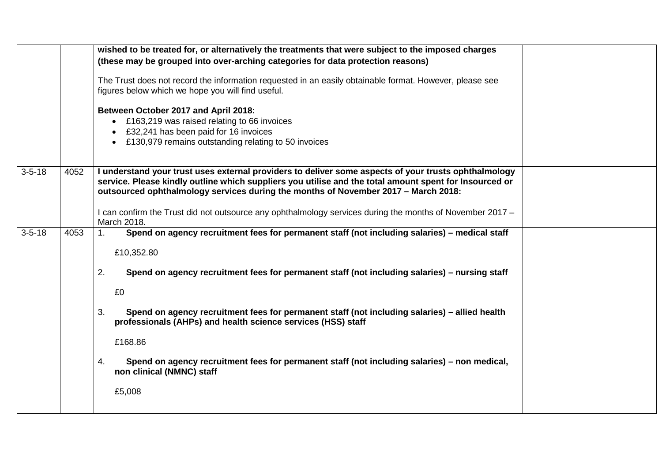|              |      | wished to be treated for, or alternatively the treatments that were subject to the imposed charges<br>(these may be grouped into over-arching categories for data protection reasons)<br>The Trust does not record the information requested in an easily obtainable format. However, please see<br>figures below which we hope you will find useful.<br>Between October 2017 and April 2018:<br>• £163,219 was raised relating to 66 invoices<br>£32,241 has been paid for 16 invoices<br>£130,979 remains outstanding relating to 50 invoices                           |  |
|--------------|------|---------------------------------------------------------------------------------------------------------------------------------------------------------------------------------------------------------------------------------------------------------------------------------------------------------------------------------------------------------------------------------------------------------------------------------------------------------------------------------------------------------------------------------------------------------------------------|--|
| $3 - 5 - 18$ | 4052 | I understand your trust uses external providers to deliver some aspects of your trusts ophthalmology<br>service. Please kindly outline which suppliers you utilise and the total amount spent for Insourced or<br>outsourced ophthalmology services during the months of November 2017 - March 2018:                                                                                                                                                                                                                                                                      |  |
|              |      | I can confirm the Trust did not outsource any ophthalmology services during the months of November 2017 –<br>March 2018.                                                                                                                                                                                                                                                                                                                                                                                                                                                  |  |
| $3 - 5 - 18$ | 4053 | Spend on agency recruitment fees for permanent staff (not including salaries) - medical staff<br>$\mathbf{1}$ .<br>£10,352.80<br>2.<br>Spend on agency recruitment fees for permanent staff (not including salaries) - nursing staff<br>£0<br>Spend on agency recruitment fees for permanent staff (not including salaries) - allied health<br>3.<br>professionals (AHPs) and health science services (HSS) staff<br>£168.86<br>Spend on agency recruitment fees for permanent staff (not including salaries) – non medical,<br>4.<br>non clinical (NMNC) staff<br>£5,008 |  |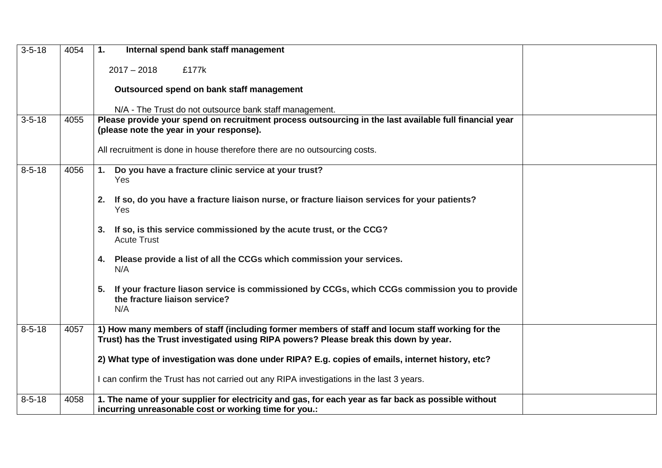| $3 - 5 - 18$ | 4054 | 1.<br>Internal spend bank staff management                                                                                                                                              |
|--------------|------|-----------------------------------------------------------------------------------------------------------------------------------------------------------------------------------------|
|              |      | $2017 - 2018$<br>£177k                                                                                                                                                                  |
|              |      | Outsourced spend on bank staff management                                                                                                                                               |
|              |      | N/A - The Trust do not outsource bank staff management.                                                                                                                                 |
| $3 - 5 - 18$ | 4055 | Please provide your spend on recruitment process outsourcing in the last available full financial year                                                                                  |
|              |      | (please note the year in your response).                                                                                                                                                |
|              |      | All recruitment is done in house therefore there are no outsourcing costs.                                                                                                              |
| $8 - 5 - 18$ | 4056 | Do you have a fracture clinic service at your trust?<br>1.<br>Yes                                                                                                                       |
|              |      | If so, do you have a fracture liaison nurse, or fracture liaison services for your patients?<br>2.<br>Yes                                                                               |
|              |      | If so, is this service commissioned by the acute trust, or the CCG?<br>3.<br><b>Acute Trust</b>                                                                                         |
|              |      | Please provide a list of all the CCGs which commission your services.<br>4.<br>N/A                                                                                                      |
|              |      | If your fracture liason service is commissioned by CCGs, which CCGs commission you to provide<br>5.<br>the fracture liaison service?<br>N/A                                             |
| $8 - 5 - 18$ | 4057 | 1) How many members of staff (including former members of staff and locum staff working for the<br>Trust) has the Trust investigated using RIPA powers? Please break this down by year. |
|              |      | 2) What type of investigation was done under RIPA? E.g. copies of emails, internet history, etc?                                                                                        |
|              |      | I can confirm the Trust has not carried out any RIPA investigations in the last 3 years.                                                                                                |
| $8 - 5 - 18$ | 4058 | 1. The name of your supplier for electricity and gas, for each year as far back as possible without<br>incurring unreasonable cost or working time for you.:                            |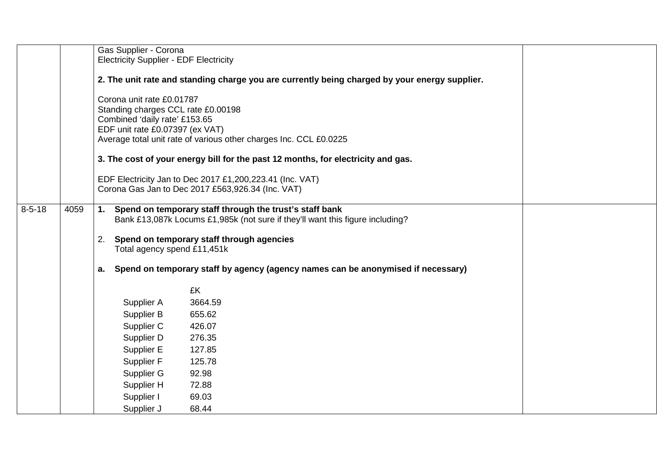|              |                                                                                                                                                     | Gas Supplier - Corona                                                                                                                                                                                                                                                                        |                                                                                               |  |  |  |  |
|--------------|-----------------------------------------------------------------------------------------------------------------------------------------------------|----------------------------------------------------------------------------------------------------------------------------------------------------------------------------------------------------------------------------------------------------------------------------------------------|-----------------------------------------------------------------------------------------------|--|--|--|--|
|              |                                                                                                                                                     | <b>Electricity Supplier - EDF Electricity</b>                                                                                                                                                                                                                                                |                                                                                               |  |  |  |  |
|              |                                                                                                                                                     |                                                                                                                                                                                                                                                                                              | 2. The unit rate and standing charge you are currently being charged by your energy supplier. |  |  |  |  |
|              |                                                                                                                                                     | Corona unit rate £0.01787<br>Standing charges CCL rate £0.00198<br>Combined 'daily rate' £153.65<br>EDF unit rate £0.07397 (ex VAT)<br>Average total unit rate of various other charges Inc. CCL £0.0225<br>3. The cost of your energy bill for the past 12 months, for electricity and gas. |                                                                                               |  |  |  |  |
|              |                                                                                                                                                     | EDF Electricity Jan to Dec 2017 £1,200,223.41 (Inc. VAT)                                                                                                                                                                                                                                     |                                                                                               |  |  |  |  |
|              |                                                                                                                                                     |                                                                                                                                                                                                                                                                                              | Corona Gas Jan to Dec 2017 £563,926.34 (Inc. VAT)                                             |  |  |  |  |
| $8 - 5 - 18$ | 1. Spend on temporary staff through the trust's staff bank<br>4059<br>Bank £13,087k Locums £1,985k (not sure if they'll want this figure including? |                                                                                                                                                                                                                                                                                              |                                                                                               |  |  |  |  |
|              |                                                                                                                                                     | Spend on temporary staff through agencies<br>2.                                                                                                                                                                                                                                              |                                                                                               |  |  |  |  |
|              |                                                                                                                                                     | Total agency spend £11,451k                                                                                                                                                                                                                                                                  |                                                                                               |  |  |  |  |
|              |                                                                                                                                                     |                                                                                                                                                                                                                                                                                              |                                                                                               |  |  |  |  |
|              |                                                                                                                                                     | а.                                                                                                                                                                                                                                                                                           | Spend on temporary staff by agency (agency names can be anonymised if necessary)              |  |  |  |  |
|              |                                                                                                                                                     |                                                                                                                                                                                                                                                                                              | £K                                                                                            |  |  |  |  |
|              |                                                                                                                                                     | Supplier A                                                                                                                                                                                                                                                                                   | 3664.59                                                                                       |  |  |  |  |
|              |                                                                                                                                                     | Supplier B                                                                                                                                                                                                                                                                                   | 655.62                                                                                        |  |  |  |  |
|              |                                                                                                                                                     | Supplier C                                                                                                                                                                                                                                                                                   | 426.07                                                                                        |  |  |  |  |
|              |                                                                                                                                                     | Supplier D                                                                                                                                                                                                                                                                                   | 276.35                                                                                        |  |  |  |  |
|              |                                                                                                                                                     | Supplier E                                                                                                                                                                                                                                                                                   | 127.85                                                                                        |  |  |  |  |
|              |                                                                                                                                                     | Supplier F                                                                                                                                                                                                                                                                                   | 125.78                                                                                        |  |  |  |  |
|              |                                                                                                                                                     | Supplier G                                                                                                                                                                                                                                                                                   | 92.98                                                                                         |  |  |  |  |
|              |                                                                                                                                                     | Supplier H                                                                                                                                                                                                                                                                                   | 72.88                                                                                         |  |  |  |  |
|              |                                                                                                                                                     | Supplier I                                                                                                                                                                                                                                                                                   | 69.03                                                                                         |  |  |  |  |
|              |                                                                                                                                                     | Supplier J                                                                                                                                                                                                                                                                                   | 68.44                                                                                         |  |  |  |  |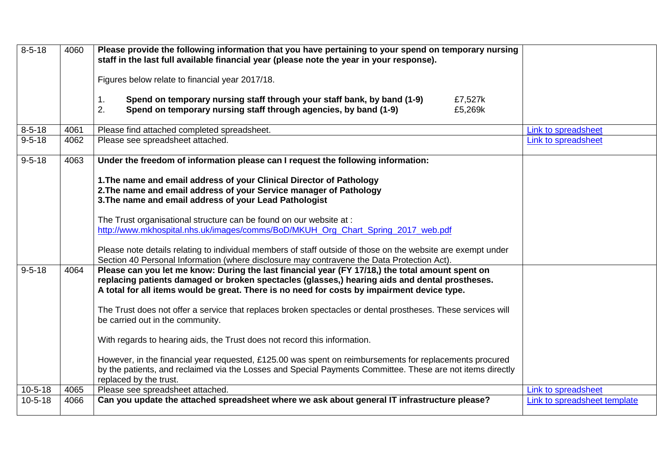| $8 - 5 - 18$  | 4060 | Please provide the following information that you have pertaining to your spend on temporary nursing<br>staff in the last full available financial year (please note the year in your response). |                              |
|---------------|------|--------------------------------------------------------------------------------------------------------------------------------------------------------------------------------------------------|------------------------------|
|               |      |                                                                                                                                                                                                  |                              |
|               |      | Figures below relate to financial year 2017/18.                                                                                                                                                  |                              |
|               |      | Spend on temporary nursing staff through your staff bank, by band (1-9)<br>1.<br>£7,527k                                                                                                         |                              |
|               |      | 2.<br>Spend on temporary nursing staff through agencies, by band (1-9)<br>£5,269k                                                                                                                |                              |
| $8 - 5 - 18$  | 4061 | Please find attached completed spreadsheet.                                                                                                                                                      | Link to spreadsheet          |
| $9 - 5 - 18$  | 4062 | Please see spreadsheet attached.                                                                                                                                                                 | Link to spreadsheet          |
| $9 - 5 - 18$  | 4063 | Under the freedom of information please can I request the following information:                                                                                                                 |                              |
|               |      | 1. The name and email address of your Clinical Director of Pathology                                                                                                                             |                              |
|               |      | 2. The name and email address of your Service manager of Pathology                                                                                                                               |                              |
|               |      | 3. The name and email address of your Lead Pathologist                                                                                                                                           |                              |
|               |      | The Trust organisational structure can be found on our website at :                                                                                                                              |                              |
|               |      | http://www.mkhospital.nhs.uk/images/comms/BoD/MKUH_Org_Chart_Spring_2017_web.pdf                                                                                                                 |                              |
|               |      | Please note details relating to individual members of staff outside of those on the website are exempt under                                                                                     |                              |
|               |      | Section 40 Personal Information (where disclosure may contravene the Data Protection Act).                                                                                                       |                              |
| $9 - 5 - 18$  | 4064 | Please can you let me know: During the last financial year (FY 17/18,) the total amount spent on                                                                                                 |                              |
|               |      | replacing patients damaged or broken spectacles (glasses,) hearing aids and dental prostheses.<br>A total for all items would be great. There is no need for costs by impairment device type.    |                              |
|               |      |                                                                                                                                                                                                  |                              |
|               |      | The Trust does not offer a service that replaces broken spectacles or dental prostheses. These services will<br>be carried out in the community.                                                 |                              |
|               |      |                                                                                                                                                                                                  |                              |
|               |      | With regards to hearing aids, the Trust does not record this information.                                                                                                                        |                              |
|               |      | However, in the financial year requested, £125.00 was spent on reimbursements for replacements procured                                                                                          |                              |
|               |      | by the patients, and reclaimed via the Losses and Special Payments Committee. These are not items directly<br>replaced by the trust.                                                             |                              |
| $10 - 5 - 18$ | 4065 | Please see spreadsheet attached.                                                                                                                                                                 | Link to spreadsheet          |
| $10 - 5 - 18$ | 4066 | Can you update the attached spreadsheet where we ask about general IT infrastructure please?                                                                                                     | Link to spreadsheet template |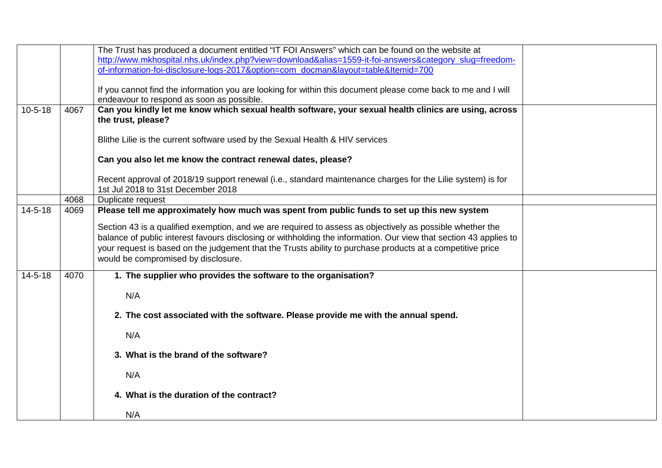|               |      | The Trust has produced a document entitled "IT FOI Answers" which can be found on the website at                                                                                                                                                                                                                                                                                    |  |
|---------------|------|-------------------------------------------------------------------------------------------------------------------------------------------------------------------------------------------------------------------------------------------------------------------------------------------------------------------------------------------------------------------------------------|--|
|               |      | http://www.mkhospital.nhs.uk/index.php?view=download&alias=1559-it-foi-answers&category_slug=freedom-                                                                                                                                                                                                                                                                               |  |
|               |      | of-information-foi-disclosure-logs-2017&option=com docman&layout=table&Itemid=700                                                                                                                                                                                                                                                                                                   |  |
|               |      |                                                                                                                                                                                                                                                                                                                                                                                     |  |
|               |      | If you cannot find the information you are looking for within this document please come back to me and I will                                                                                                                                                                                                                                                                       |  |
|               |      | endeavour to respond as soon as possible.                                                                                                                                                                                                                                                                                                                                           |  |
| $10 - 5 - 18$ | 4067 | Can you kindly let me know which sexual health software, your sexual health clinics are using, across<br>the trust, please?                                                                                                                                                                                                                                                         |  |
|               |      | Blithe Lilie is the current software used by the Sexual Health & HIV services                                                                                                                                                                                                                                                                                                       |  |
|               |      | Can you also let me know the contract renewal dates, please?                                                                                                                                                                                                                                                                                                                        |  |
|               |      | Recent approval of 2018/19 support renewal (i.e., standard maintenance charges for the Lilie system) is for<br>1st Jul 2018 to 31st December 2018                                                                                                                                                                                                                                   |  |
|               | 4068 | Duplicate request                                                                                                                                                                                                                                                                                                                                                                   |  |
| $14 - 5 - 18$ | 4069 | Please tell me approximately how much was spent from public funds to set up this new system                                                                                                                                                                                                                                                                                         |  |
|               |      | Section 43 is a qualified exemption, and we are required to assess as objectively as possible whether the<br>balance of public interest favours disclosing or withholding the information. Our view that section 43 applies to<br>your request is based on the judgement that the Trusts ability to purchase products at a competitive price<br>would be compromised by disclosure. |  |
| $14 - 5 - 18$ | 4070 | 1. The supplier who provides the software to the organisation?                                                                                                                                                                                                                                                                                                                      |  |
|               |      | N/A                                                                                                                                                                                                                                                                                                                                                                                 |  |
|               |      | 2. The cost associated with the software. Please provide me with the annual spend.                                                                                                                                                                                                                                                                                                  |  |
|               |      | N/A                                                                                                                                                                                                                                                                                                                                                                                 |  |
|               |      | 3. What is the brand of the software?                                                                                                                                                                                                                                                                                                                                               |  |
|               |      | N/A                                                                                                                                                                                                                                                                                                                                                                                 |  |
|               |      | 4. What is the duration of the contract?                                                                                                                                                                                                                                                                                                                                            |  |
|               |      | N/A                                                                                                                                                                                                                                                                                                                                                                                 |  |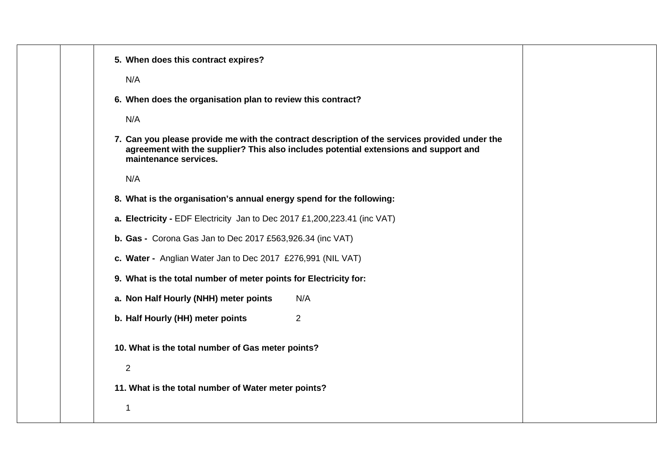| 5. When does this contract expires?                                                                                                                                                                            |  |
|----------------------------------------------------------------------------------------------------------------------------------------------------------------------------------------------------------------|--|
| N/A                                                                                                                                                                                                            |  |
| 6. When does the organisation plan to review this contract?                                                                                                                                                    |  |
| N/A                                                                                                                                                                                                            |  |
| 7. Can you please provide me with the contract description of the services provided under the<br>agreement with the supplier? This also includes potential extensions and support and<br>maintenance services. |  |
| N/A                                                                                                                                                                                                            |  |
| 8. What is the organisation's annual energy spend for the following:                                                                                                                                           |  |
| a. Electricity - EDF Electricity Jan to Dec 2017 £1,200,223.41 (inc VAT)                                                                                                                                       |  |
| b. Gas - Corona Gas Jan to Dec 2017 £563,926.34 (inc VAT)                                                                                                                                                      |  |
| c. Water - Anglian Water Jan to Dec 2017 £276,991 (NIL VAT)                                                                                                                                                    |  |
| 9. What is the total number of meter points for Electricity for:                                                                                                                                               |  |
| N/A<br>a. Non Half Hourly (NHH) meter points                                                                                                                                                                   |  |
| b. Half Hourly (HH) meter points<br>$\overline{2}$                                                                                                                                                             |  |
| 10. What is the total number of Gas meter points?                                                                                                                                                              |  |
| $\overline{2}$                                                                                                                                                                                                 |  |
| 11. What is the total number of Water meter points?                                                                                                                                                            |  |
|                                                                                                                                                                                                                |  |
|                                                                                                                                                                                                                |  |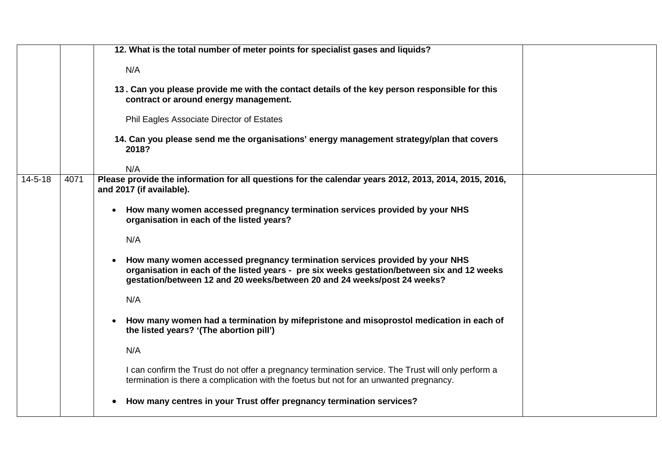|               |      | 12. What is the total number of meter points for specialist gases and liquids?                                                                                                                                                                                      |  |
|---------------|------|---------------------------------------------------------------------------------------------------------------------------------------------------------------------------------------------------------------------------------------------------------------------|--|
|               |      | N/A                                                                                                                                                                                                                                                                 |  |
|               |      | 13. Can you please provide me with the contact details of the key person responsible for this<br>contract or around energy management.                                                                                                                              |  |
|               |      | Phil Eagles Associate Director of Estates                                                                                                                                                                                                                           |  |
|               |      | 14. Can you please send me the organisations' energy management strategy/plan that covers<br>2018?                                                                                                                                                                  |  |
|               |      | N/A                                                                                                                                                                                                                                                                 |  |
| $14 - 5 - 18$ | 4071 | Please provide the information for all questions for the calendar years 2012, 2013, 2014, 2015, 2016,<br>and 2017 (if available).                                                                                                                                   |  |
|               |      | How many women accessed pregnancy termination services provided by your NHS<br>$\bullet$<br>organisation in each of the listed years?                                                                                                                               |  |
|               |      | N/A                                                                                                                                                                                                                                                                 |  |
|               |      | How many women accessed pregnancy termination services provided by your NHS<br>$\bullet$<br>organisation in each of the listed years - pre six weeks gestation/between six and 12 weeks<br>gestation/between 12 and 20 weeks/between 20 and 24 weeks/post 24 weeks? |  |
|               |      | N/A                                                                                                                                                                                                                                                                 |  |
|               |      | How many women had a termination by mifepristone and misoprostol medication in each of<br>$\bullet$<br>the listed years? '(The abortion pill')                                                                                                                      |  |
|               |      | N/A                                                                                                                                                                                                                                                                 |  |
|               |      | I can confirm the Trust do not offer a pregnancy termination service. The Trust will only perform a<br>termination is there a complication with the foetus but not for an unwanted pregnancy.                                                                       |  |
|               |      | How many centres in your Trust offer pregnancy termination services?<br>$\bullet$                                                                                                                                                                                   |  |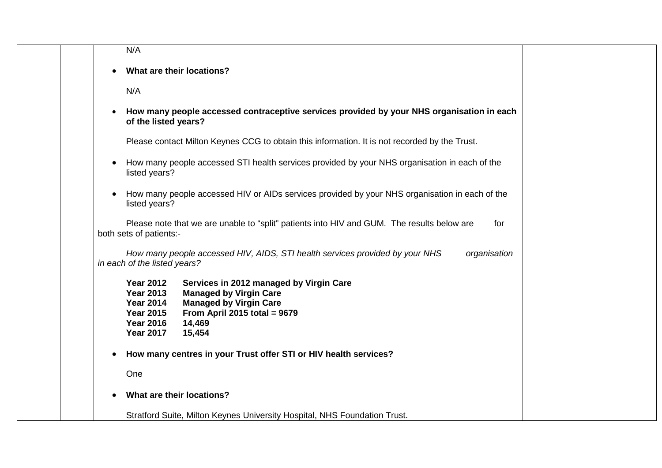| N/A                     |                                                                                                                                                                                                                                                                                         |
|-------------------------|-----------------------------------------------------------------------------------------------------------------------------------------------------------------------------------------------------------------------------------------------------------------------------------------|
|                         | What are their locations?                                                                                                                                                                                                                                                               |
| N/A                     |                                                                                                                                                                                                                                                                                         |
|                         | How many people accessed contraceptive services provided by your NHS organisation in each<br>of the listed years?                                                                                                                                                                       |
|                         | Please contact Milton Keynes CCG to obtain this information. It is not recorded by the Trust.                                                                                                                                                                                           |
| $\bullet$               | How many people accessed STI health services provided by your NHS organisation in each of the<br>listed years?                                                                                                                                                                          |
|                         | How many people accessed HIV or AIDs services provided by your NHS organisation in each of the<br>listed years?                                                                                                                                                                         |
| both sets of patients:- | Please note that we are unable to "split" patients into HIV and GUM. The results below are<br>for                                                                                                                                                                                       |
|                         | How many people accessed HIV, AIDS, STI health services provided by your NHS<br>organisation<br>in each of the listed years?                                                                                                                                                            |
|                         | <b>Year 2012</b><br>Services in 2012 managed by Virgin Care<br><b>Year 2013</b><br><b>Managed by Virgin Care</b><br><b>Managed by Virgin Care</b><br><b>Year 2014</b><br><b>Year 2015</b><br>From April 2015 total = $9679$<br><b>Year 2016</b><br>14,469<br><b>Year 2017</b><br>15,454 |
|                         | How many centres in your Trust offer STI or HIV health services?                                                                                                                                                                                                                        |
| One                     |                                                                                                                                                                                                                                                                                         |
|                         | What are their locations?                                                                                                                                                                                                                                                               |
|                         | Stratford Suite, Milton Keynes University Hospital, NHS Foundation Trust.                                                                                                                                                                                                               |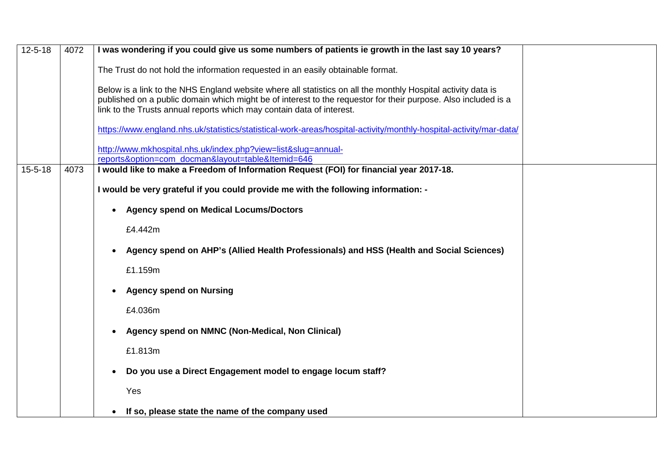| $12 - 5 - 18$ | 4072 | I was wondering if you could give us some numbers of patients ie growth in the last say 10 years?                                                                                                                                                                                                       |  |
|---------------|------|---------------------------------------------------------------------------------------------------------------------------------------------------------------------------------------------------------------------------------------------------------------------------------------------------------|--|
|               |      | The Trust do not hold the information requested in an easily obtainable format.                                                                                                                                                                                                                         |  |
|               |      | Below is a link to the NHS England website where all statistics on all the monthly Hospital activity data is<br>published on a public domain which might be of interest to the requestor for their purpose. Also included is a<br>link to the Trusts annual reports which may contain data of interest. |  |
|               |      | https://www.england.nhs.uk/statistics/statistical-work-areas/hospital-activity/monthly-hospital-activity/mar-data/                                                                                                                                                                                      |  |
|               |      | http://www.mkhospital.nhs.uk/index.php?view=list&slug=annual-<br>reports&option=com_docman&layout=table&Itemid=646                                                                                                                                                                                      |  |
| $15 - 5 - 18$ | 4073 | I would like to make a Freedom of Information Request (FOI) for financial year 2017-18.                                                                                                                                                                                                                 |  |
|               |      | I would be very grateful if you could provide me with the following information: -                                                                                                                                                                                                                      |  |
|               |      | <b>Agency spend on Medical Locums/Doctors</b>                                                                                                                                                                                                                                                           |  |
|               |      | £4.442m                                                                                                                                                                                                                                                                                                 |  |
|               |      | Agency spend on AHP's (Allied Health Professionals) and HSS (Health and Social Sciences)                                                                                                                                                                                                                |  |
|               |      | £1.159m                                                                                                                                                                                                                                                                                                 |  |
|               |      | <b>Agency spend on Nursing</b>                                                                                                                                                                                                                                                                          |  |
|               |      | £4.036m                                                                                                                                                                                                                                                                                                 |  |
|               |      | Agency spend on NMNC (Non-Medical, Non Clinical)<br>$\bullet$                                                                                                                                                                                                                                           |  |
|               |      | £1.813m                                                                                                                                                                                                                                                                                                 |  |
|               |      | Do you use a Direct Engagement model to engage locum staff?<br>$\bullet$                                                                                                                                                                                                                                |  |
|               |      | Yes                                                                                                                                                                                                                                                                                                     |  |
|               |      | If so, please state the name of the company used<br>$\bullet$                                                                                                                                                                                                                                           |  |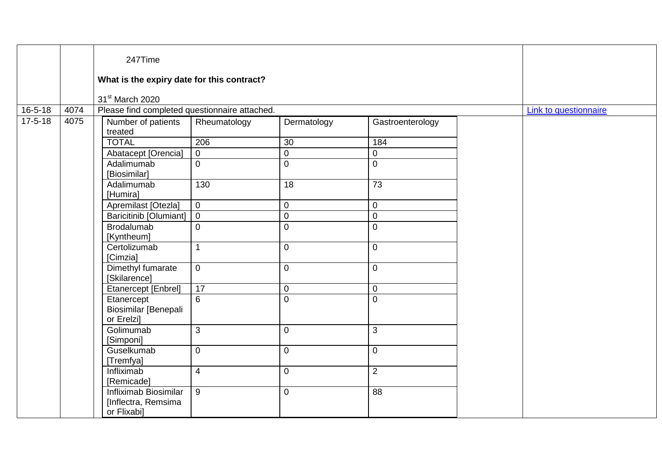|               |      | 247Time<br>What is the expiry date for this contract?<br>31 <sup>st</sup> March 2020 |                |                |                  |  |                       |
|---------------|------|--------------------------------------------------------------------------------------|----------------|----------------|------------------|--|-----------------------|
| $16 - 5 - 18$ | 4074 | Please find completed questionnaire attached.                                        |                |                |                  |  | Link to questionnaire |
| $17 - 5 - 18$ | 4075 | Number of patients<br>treated                                                        | Rheumatology   | Dermatology    | Gastroenterology |  |                       |
|               |      | <b>TOTAL</b>                                                                         | 206            | 30             | 184              |  |                       |
|               |      | Abatacept [Orencia]                                                                  | $\overline{0}$ | $\overline{0}$ | $\overline{0}$   |  |                       |
|               |      | Adalimumab<br>[Biosimilar]                                                           | $\mathbf 0$    | $\mathbf 0$    | $\overline{0}$   |  |                       |
|               |      | Adalimumab<br>[Humira]                                                               | 130            | 18             | 73               |  |                       |
|               |      | Apremilast [Otezla]                                                                  | $\overline{0}$ | $\mathbf 0$    | $\mathbf 0$      |  |                       |
|               |      | <b>Baricitinib [Olumiant]</b>                                                        | $\overline{0}$ | $\mathbf 0$    | $\overline{0}$   |  |                       |
|               |      | <b>Brodalumab</b><br>[Kyntheum]                                                      | $\mathbf 0$    | $\overline{0}$ | $\mathbf{0}$     |  |                       |
|               |      | Certolizumab<br>[Cimzia]                                                             | $\mathbf{1}$   | $\Omega$       | $\overline{0}$   |  |                       |
|               |      | Dimethyl fumarate<br>[Skilarence]                                                    | $\overline{0}$ | $\mathbf 0$    | $\overline{0}$   |  |                       |
|               |      | Etanercept [Enbrel]                                                                  | 17             | $\mathbf 0$    | $\overline{0}$   |  |                       |
|               |      | Etanercept<br>Biosimilar [Benepali<br>or Erelzi]                                     | $\overline{6}$ | $\overline{0}$ | $\Omega$         |  |                       |
|               |      | Golimumab<br>[Simponi]                                                               | 3              | $\overline{0}$ | 3 <sup>1</sup>   |  |                       |
|               |      | Guselkumab<br>[Tremfya]                                                              | $\mathbf 0$    | $\mathbf 0$    | $\overline{0}$   |  |                       |
|               |      | Infliximab<br>[Remicade]                                                             | $\overline{4}$ | $\mathbf 0$    | $\overline{2}$   |  |                       |
|               |      | Infliximab Biosimilar<br>[Inflectra, Remsima<br>or Flixabi]                          | 9              | $\mathbf 0$    | 88               |  |                       |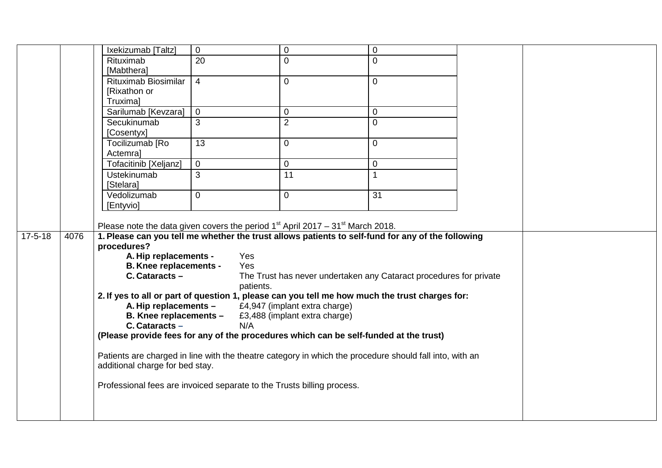|               |      | Ixekizumab [Taltz]                                                                                      | $\mathbf 0$     | $\mathbf 0$                                                        | 0              |  |
|---------------|------|---------------------------------------------------------------------------------------------------------|-----------------|--------------------------------------------------------------------|----------------|--|
|               |      | Rituximab                                                                                               | $\overline{20}$ | $\mathbf 0$                                                        | 0              |  |
|               |      | [Mabthera]                                                                                              |                 |                                                                    |                |  |
|               |      | Rituximab Biosimilar                                                                                    | $\overline{4}$  | $\Omega$                                                           | $\overline{0}$ |  |
|               |      | [Rixathon or                                                                                            |                 |                                                                    |                |  |
|               |      | <b>Truximal</b>                                                                                         |                 |                                                                    |                |  |
|               |      | Sarilumab [Kevzara]                                                                                     | $\overline{0}$  | $\mathbf 0$                                                        | $\overline{0}$ |  |
|               |      | Secukinumab                                                                                             | 3               | $\overline{2}$                                                     | $\overline{0}$ |  |
|               |      | [Cosentyx]                                                                                              |                 |                                                                    |                |  |
|               |      | Tocilizumab [Ro                                                                                         | 13              | $\mathbf 0$                                                        | $\Omega$       |  |
|               |      | Actemral                                                                                                |                 |                                                                    |                |  |
|               |      | <b>Tofacitinib [Xeljanz]</b>                                                                            | $\overline{0}$  | $\mathsf 0$                                                        | 0              |  |
|               |      | <b>Ustekinumab</b>                                                                                      | 3               | $\overline{11}$                                                    | $\mathbf{1}$   |  |
|               |      | [Stelara]                                                                                               |                 |                                                                    |                |  |
|               |      | Vedolizumab                                                                                             | $\overline{0}$  | $\mathbf 0$                                                        | 31             |  |
|               |      | [Entyvio]                                                                                               |                 |                                                                    |                |  |
|               |      |                                                                                                         |                 |                                                                    |                |  |
|               |      | Please note the data given covers the period $1st$ April 2017 – 31 <sup>st</sup> March 2018.            |                 |                                                                    |                |  |
| $17 - 5 - 18$ | 4076 | 1. Please can you tell me whether the trust allows patients to self-fund for any of the following       |                 |                                                                    |                |  |
|               |      | procedures?                                                                                             |                 |                                                                    |                |  |
|               |      | A. Hip replacements -                                                                                   |                 | Yes                                                                |                |  |
|               |      | <b>B. Knee replacements -</b>                                                                           |                 | Yes                                                                |                |  |
|               |      | $C.$ Cataracts $-$                                                                                      |                 | The Trust has never undertaken any Cataract procedures for private |                |  |
|               |      |                                                                                                         |                 | patients.                                                          |                |  |
|               |      | 2. If yes to all or part of question 1, please can you tell me how much the trust charges for:          |                 |                                                                    |                |  |
|               |      | A. Hip replacements -                                                                                   |                 | £4,947 (implant extra charge)                                      |                |  |
|               |      | B. Knee replacements -                                                                                  |                 | £3,488 (implant extra charge)                                      |                |  |
|               |      | $C.$ Cataracts $-$                                                                                      |                 | N/A                                                                |                |  |
|               |      | (Please provide fees for any of the procedures which can be self-funded at the trust)                   |                 |                                                                    |                |  |
|               |      | Patients are charged in line with the theatre category in which the procedure should fall into, with an |                 |                                                                    |                |  |
|               |      | additional charge for bed stay.                                                                         |                 |                                                                    |                |  |
|               |      | Professional fees are invoiced separate to the Trusts billing process.                                  |                 |                                                                    |                |  |
|               |      |                                                                                                         |                 |                                                                    |                |  |
|               |      |                                                                                                         |                 |                                                                    |                |  |
|               |      |                                                                                                         |                 |                                                                    |                |  |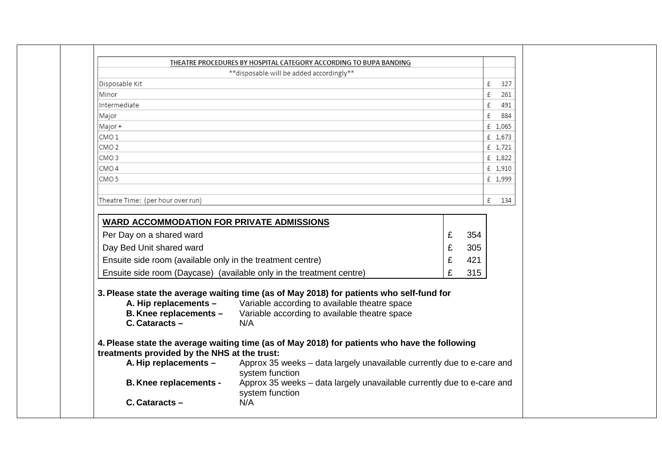|                                                                                                                    | THEATRE PROCEDURES BY HOSPITAL CATEGORY ACCORDING TO BUPA BANDING                                                                                                                                                                                                                                  |             |                   |          |
|--------------------------------------------------------------------------------------------------------------------|----------------------------------------------------------------------------------------------------------------------------------------------------------------------------------------------------------------------------------------------------------------------------------------------------|-------------|-------------------|----------|
|                                                                                                                    | **disposable will be added accordingly**                                                                                                                                                                                                                                                           |             |                   |          |
| Disposable Kit                                                                                                     |                                                                                                                                                                                                                                                                                                    |             |                   | £<br>327 |
| Minor                                                                                                              |                                                                                                                                                                                                                                                                                                    |             |                   | £<br>261 |
| Intermediate                                                                                                       |                                                                                                                                                                                                                                                                                                    |             |                   | £<br>491 |
| Major                                                                                                              |                                                                                                                                                                                                                                                                                                    |             |                   | 884<br>£ |
| Major +                                                                                                            |                                                                                                                                                                                                                                                                                                    |             |                   | £ 1,065  |
| CMO <sub>1</sub>                                                                                                   |                                                                                                                                                                                                                                                                                                    |             |                   | £ 1,673  |
| CMO <sub>2</sub>                                                                                                   |                                                                                                                                                                                                                                                                                                    |             |                   | £ 1,721  |
| CMO <sub>3</sub>                                                                                                   |                                                                                                                                                                                                                                                                                                    |             |                   | £ 1,822  |
| CMO <sub>4</sub>                                                                                                   |                                                                                                                                                                                                                                                                                                    |             |                   | £ 1,910  |
| CMO <sub>5</sub>                                                                                                   |                                                                                                                                                                                                                                                                                                    |             |                   | £ 1,999  |
|                                                                                                                    |                                                                                                                                                                                                                                                                                                    |             |                   |          |
| Theatre Time: (per hour over run)                                                                                  |                                                                                                                                                                                                                                                                                                    |             |                   | £<br>134 |
| <b>WARD ACCOMMODATION FOR PRIVATE ADMISSIONS</b>                                                                   |                                                                                                                                                                                                                                                                                                    |             |                   |          |
| Per Day on a shared ward<br>Day Bed Unit shared ward<br>Ensuite side room (available only in the treatment centre) |                                                                                                                                                                                                                                                                                                    | £<br>£<br>£ | 354<br>305<br>421 |          |
|                                                                                                                    | Ensuite side room (Daycase) (available only in the treatment centre)                                                                                                                                                                                                                               | £           | 315               |          |
| A. Hip replacements -<br>B. Knee replacements -<br>$C.$ Cataracts $-$                                              | 3. Please state the average waiting time (as of May 2018) for patients who self-fund for<br>Variable according to available theatre space<br>Variable according to available theatre space<br>N/A<br>4. Please state the average waiting time (as of May 2018) for patients who have the following |             |                   |          |
| treatments provided by the NHS at the trust:                                                                       |                                                                                                                                                                                                                                                                                                    |             |                   |          |
| A. Hip replacements -                                                                                              | Approx 35 weeks - data largely unavailable currently due to e-care and<br>system function                                                                                                                                                                                                          |             |                   |          |
| <b>B. Knee replacements -</b>                                                                                      | Approx 35 weeks - data largely unavailable currently due to e-care and<br>system function                                                                                                                                                                                                          |             |                   |          |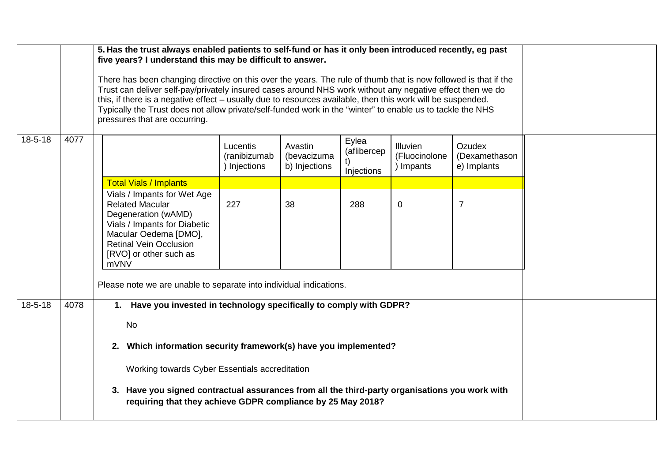|               |      | 5. Has the trust always enabled patients to self-fund or has it only been introduced recently, eg past<br>five years? I understand this may be difficult to answer.<br>There has been changing directive on this over the years. The rule of thumb that is now followed is that if the<br>Trust can deliver self-pay/privately insured cases around NHS work without any negative effect then we do<br>this, if there is a negative effect – usually due to resources available, then this work will be suspended.<br>Typically the Trust does not allow private/self-funded work in the "winter" to enable us to tackle the NHS<br>pressures that are occurring. |                                        |                                         |                                    |                                             |                                        |  |
|---------------|------|-------------------------------------------------------------------------------------------------------------------------------------------------------------------------------------------------------------------------------------------------------------------------------------------------------------------------------------------------------------------------------------------------------------------------------------------------------------------------------------------------------------------------------------------------------------------------------------------------------------------------------------------------------------------|----------------------------------------|-----------------------------------------|------------------------------------|---------------------------------------------|----------------------------------------|--|
| $18 - 5 - 18$ | 4077 |                                                                                                                                                                                                                                                                                                                                                                                                                                                                                                                                                                                                                                                                   | Lucentis<br>(ranibizumab<br>Injections | Avastin<br>(bevacizuma<br>b) Injections | Eylea<br>(aflibercep<br>Injections | <b>Illuvien</b><br>(Fluocinolone<br>Impants | Ozudex<br>(Dexamethason<br>e) Implants |  |
|               |      | <b>Total Vials / Implants</b>                                                                                                                                                                                                                                                                                                                                                                                                                                                                                                                                                                                                                                     |                                        |                                         |                                    |                                             |                                        |  |
|               |      | Vials / Impants for Wet Age<br><b>Related Macular</b><br>Degeneration (wAMD)<br>Vials / Impants for Diabetic<br>Macular Oedema [DMO],<br><b>Retinal Vein Occlusion</b><br>[RVO] or other such as<br>mVNV                                                                                                                                                                                                                                                                                                                                                                                                                                                          | 227                                    | 38                                      | 288                                | $\Omega$                                    | $\overline{7}$                         |  |
|               |      | Please note we are unable to separate into individual indications.                                                                                                                                                                                                                                                                                                                                                                                                                                                                                                                                                                                                |                                        |                                         |                                    |                                             |                                        |  |
| $18 - 5 - 18$ | 4078 | 1. Have you invested in technology specifically to comply with GDPR?<br>No<br>2. Which information security framework(s) have you implemented?<br>Working towards Cyber Essentials accreditation<br>3. Have you signed contractual assurances from all the third-party organisations you work with<br>requiring that they achieve GDPR compliance by 25 May 2018?                                                                                                                                                                                                                                                                                                 |                                        |                                         |                                    |                                             |                                        |  |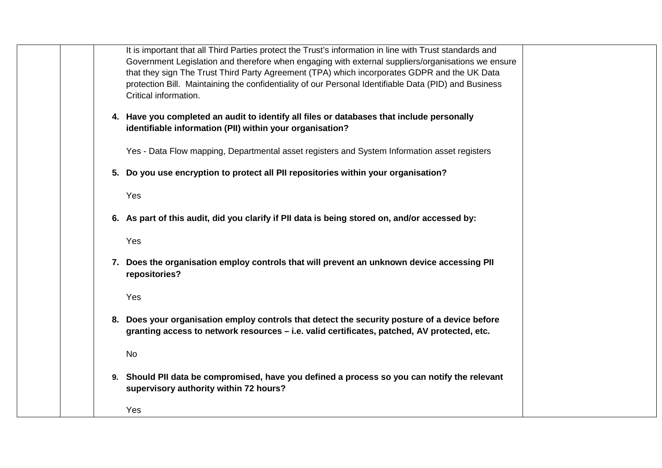|  | It is important that all Third Parties protect the Trust's information in line with Trust standards and |  |
|--|---------------------------------------------------------------------------------------------------------|--|
|  | Government Legislation and therefore when engaging with external suppliers/organisations we ensure      |  |
|  | that they sign The Trust Third Party Agreement (TPA) which incorporates GDPR and the UK Data            |  |
|  | protection Bill. Maintaining the confidentiality of our Personal Identifiable Data (PID) and Business   |  |
|  | Critical information.                                                                                   |  |
|  |                                                                                                         |  |
|  | 4. Have you completed an audit to identify all files or databases that include personally               |  |
|  | identifiable information (PII) within your organisation?                                                |  |
|  |                                                                                                         |  |
|  | Yes - Data Flow mapping, Departmental asset registers and System Information asset registers            |  |
|  |                                                                                                         |  |
|  | 5. Do you use encryption to protect all PII repositories within your organisation?                      |  |
|  | Yes                                                                                                     |  |
|  |                                                                                                         |  |
|  | 6. As part of this audit, did you clarify if PII data is being stored on, and/or accessed by:           |  |
|  |                                                                                                         |  |
|  | Yes                                                                                                     |  |
|  |                                                                                                         |  |
|  | 7. Does the organisation employ controls that will prevent an unknown device accessing PII              |  |
|  | repositories?                                                                                           |  |
|  |                                                                                                         |  |
|  | Yes                                                                                                     |  |
|  |                                                                                                         |  |
|  | 8. Does your organisation employ controls that detect the security posture of a device before           |  |
|  | granting access to network resources – i.e. valid certificates, patched, AV protected, etc.             |  |
|  |                                                                                                         |  |
|  | No                                                                                                      |  |
|  |                                                                                                         |  |
|  | 9. Should PII data be compromised, have you defined a process so you can notify the relevant            |  |
|  | supervisory authority within 72 hours?                                                                  |  |
|  | Yes                                                                                                     |  |
|  |                                                                                                         |  |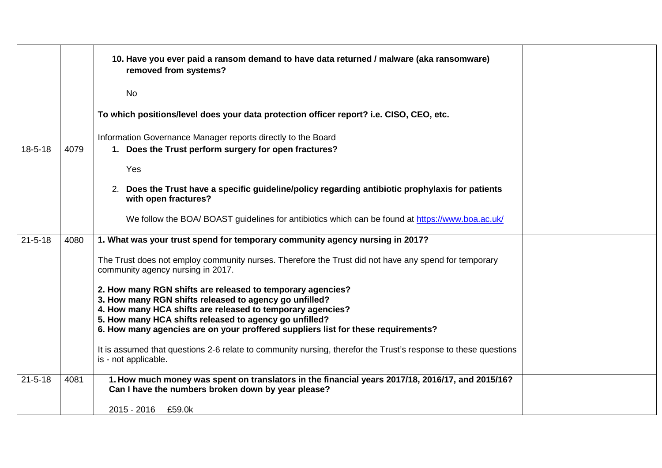|               |      | 10. Have you ever paid a ransom demand to have data returned / malware (aka ransomware)<br>removed from systems?                                       |  |
|---------------|------|--------------------------------------------------------------------------------------------------------------------------------------------------------|--|
|               |      | <b>No</b>                                                                                                                                              |  |
|               |      | To which positions/level does your data protection officer report? i.e. CISO, CEO, etc.                                                                |  |
|               |      | Information Governance Manager reports directly to the Board                                                                                           |  |
| $18 - 5 - 18$ | 4079 | 1. Does the Trust perform surgery for open fractures?                                                                                                  |  |
|               |      | Yes                                                                                                                                                    |  |
|               |      | 2. Does the Trust have a specific guideline/policy regarding antibiotic prophylaxis for patients<br>with open fractures?                               |  |
|               |      | We follow the BOA/BOAST guidelines for antibiotics which can be found at https://www.boa.ac.uk/                                                        |  |
| $21 - 5 - 18$ | 4080 | 1. What was your trust spend for temporary community agency nursing in 2017?                                                                           |  |
|               |      | The Trust does not employ community nurses. Therefore the Trust did not have any spend for temporary<br>community agency nursing in 2017.              |  |
|               |      | 2. How many RGN shifts are released to temporary agencies?<br>3. How many RGN shifts released to agency go unfilled?                                   |  |
|               |      | 4. How many HCA shifts are released to temporary agencies?                                                                                             |  |
|               |      | 5. How many HCA shifts released to agency go unfilled?<br>6. How many agencies are on your proffered suppliers list for these requirements?            |  |
|               |      |                                                                                                                                                        |  |
|               |      | It is assumed that questions 2-6 relate to community nursing, therefor the Trust's response to these questions<br>is - not applicable.                 |  |
| $21 - 5 - 18$ | 4081 | 1. How much money was spent on translators in the financial years 2017/18, 2016/17, and 2015/16?<br>Can I have the numbers broken down by year please? |  |
|               |      | 2015 - 2016 £59.0k                                                                                                                                     |  |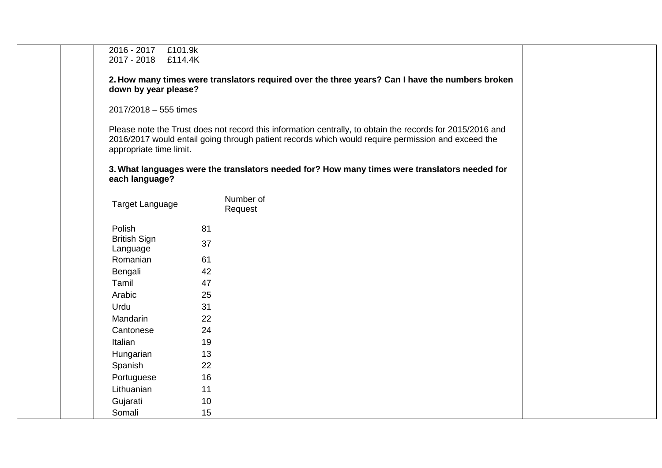| 2016 - 2017 £101.9k<br>2017 - 2018 £114.4K |                      |                                                                                                                                                                                                                 |  |
|--------------------------------------------|----------------------|-----------------------------------------------------------------------------------------------------------------------------------------------------------------------------------------------------------------|--|
|                                            |                      |                                                                                                                                                                                                                 |  |
| down by year please?                       |                      | 2. How many times were translators required over the three years? Can I have the numbers broken                                                                                                                 |  |
| 2017/2018 - 555 times                      |                      |                                                                                                                                                                                                                 |  |
| appropriate time limit.                    |                      | Please note the Trust does not record this information centrally, to obtain the records for 2015/2016 and<br>2016/2017 would entail going through patient records which would require permission and exceed the |  |
| each language?                             |                      | 3. What languages were the translators needed for? How many times were translators needed for                                                                                                                   |  |
| <b>Target Language</b>                     | Number of<br>Request |                                                                                                                                                                                                                 |  |
| Polish                                     | 81                   |                                                                                                                                                                                                                 |  |
| <b>British Sign</b><br>Language            | 37                   |                                                                                                                                                                                                                 |  |
| Romanian                                   | 61                   |                                                                                                                                                                                                                 |  |
| Bengali                                    | 42                   |                                                                                                                                                                                                                 |  |
| Tamil                                      | 47                   |                                                                                                                                                                                                                 |  |
| Arabic                                     | 25                   |                                                                                                                                                                                                                 |  |
| Urdu                                       | 31                   |                                                                                                                                                                                                                 |  |
| Mandarin                                   | 22                   |                                                                                                                                                                                                                 |  |
| Cantonese                                  | 24                   |                                                                                                                                                                                                                 |  |
| Italian                                    | 19                   |                                                                                                                                                                                                                 |  |
| Hungarian                                  | 13                   |                                                                                                                                                                                                                 |  |
| Spanish                                    | 22                   |                                                                                                                                                                                                                 |  |
| Portuguese                                 | 16                   |                                                                                                                                                                                                                 |  |
| Lithuanian                                 | 11                   |                                                                                                                                                                                                                 |  |
| Gujarati                                   | 10                   |                                                                                                                                                                                                                 |  |
| Somali                                     | 15                   |                                                                                                                                                                                                                 |  |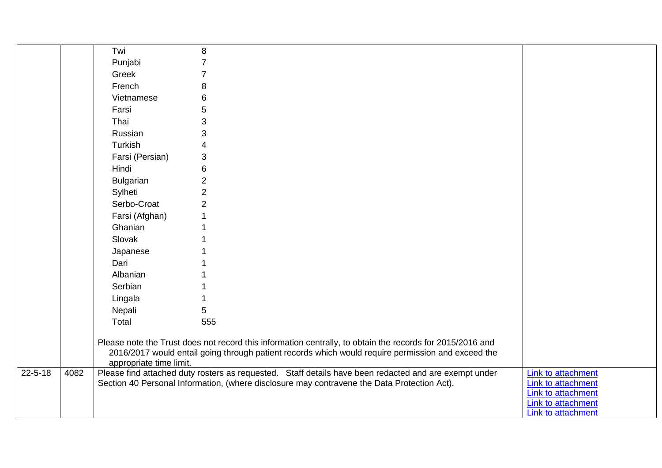|               |      | Twi                     | 8                                                                                                                                                                                                               |                                                 |
|---------------|------|-------------------------|-----------------------------------------------------------------------------------------------------------------------------------------------------------------------------------------------------------------|-------------------------------------------------|
|               |      | Punjabi                 | $\overline{7}$                                                                                                                                                                                                  |                                                 |
|               |      | Greek                   | $\overline{7}$                                                                                                                                                                                                  |                                                 |
|               |      | French                  | 8                                                                                                                                                                                                               |                                                 |
|               |      | Vietnamese              | 6                                                                                                                                                                                                               |                                                 |
|               |      | Farsi                   | 5                                                                                                                                                                                                               |                                                 |
|               |      | Thai                    | 3                                                                                                                                                                                                               |                                                 |
|               |      | Russian                 | 3                                                                                                                                                                                                               |                                                 |
|               |      | Turkish                 | $\overline{4}$                                                                                                                                                                                                  |                                                 |
|               |      | Farsi (Persian)         | 3                                                                                                                                                                                                               |                                                 |
|               |      | Hindi                   | 6                                                                                                                                                                                                               |                                                 |
|               |      | <b>Bulgarian</b>        | $\overline{2}$                                                                                                                                                                                                  |                                                 |
|               |      | Sylheti                 | $\overline{2}$                                                                                                                                                                                                  |                                                 |
|               |      | Serbo-Croat             | $\overline{2}$                                                                                                                                                                                                  |                                                 |
|               |      | Farsi (Afghan)          |                                                                                                                                                                                                                 |                                                 |
|               |      | Ghanian                 |                                                                                                                                                                                                                 |                                                 |
|               |      | Slovak                  |                                                                                                                                                                                                                 |                                                 |
|               |      | Japanese                |                                                                                                                                                                                                                 |                                                 |
|               |      | Dari                    |                                                                                                                                                                                                                 |                                                 |
|               |      | Albanian                |                                                                                                                                                                                                                 |                                                 |
|               |      | Serbian                 |                                                                                                                                                                                                                 |                                                 |
|               |      | Lingala                 |                                                                                                                                                                                                                 |                                                 |
|               |      | Nepali                  | 5                                                                                                                                                                                                               |                                                 |
|               |      | Total                   | 555                                                                                                                                                                                                             |                                                 |
|               |      | appropriate time limit. | Please note the Trust does not record this information centrally, to obtain the records for 2015/2016 and<br>2016/2017 would entail going through patient records which would require permission and exceed the |                                                 |
| $22 - 5 - 18$ | 4082 |                         | Please find attached duty rosters as requested. Staff details have been redacted and are exempt under<br>Section 40 Personal Information, (where disclosure may contravene the Data Protection Act).            | <b>Link to attachment</b><br>Link to attachment |
|               |      |                         |                                                                                                                                                                                                                 | Link to attachment                              |
|               |      |                         |                                                                                                                                                                                                                 | Link to attachment                              |
|               |      |                         |                                                                                                                                                                                                                 | <b>Link to attachment</b>                       |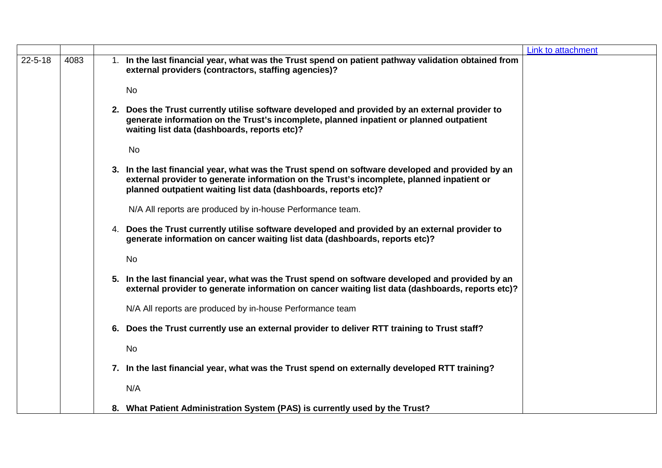|               |      |           |                                                                                                                                                                                                                                                                  | Link to attachment |
|---------------|------|-----------|------------------------------------------------------------------------------------------------------------------------------------------------------------------------------------------------------------------------------------------------------------------|--------------------|
| $22 - 5 - 18$ | 4083 |           | 1. In the last financial year, what was the Trust spend on patient pathway validation obtained from<br>external providers (contractors, staffing agencies)?                                                                                                      |                    |
|               |      | <b>No</b> |                                                                                                                                                                                                                                                                  |                    |
|               |      |           | 2. Does the Trust currently utilise software developed and provided by an external provider to<br>generate information on the Trust's incomplete, planned inpatient or planned outpatient<br>waiting list data (dashboards, reports etc)?                        |                    |
|               |      | <b>No</b> |                                                                                                                                                                                                                                                                  |                    |
|               |      |           | 3. In the last financial year, what was the Trust spend on software developed and provided by an<br>external provider to generate information on the Trust's incomplete, planned inpatient or<br>planned outpatient waiting list data (dashboards, reports etc)? |                    |
|               |      |           | N/A All reports are produced by in-house Performance team.                                                                                                                                                                                                       |                    |
|               |      |           | 4. Does the Trust currently utilise software developed and provided by an external provider to<br>generate information on cancer waiting list data (dashboards, reports etc)?                                                                                    |                    |
|               |      | <b>No</b> |                                                                                                                                                                                                                                                                  |                    |
|               |      |           | 5. In the last financial year, what was the Trust spend on software developed and provided by an<br>external provider to generate information on cancer waiting list data (dashboards, reports etc)?                                                             |                    |
|               |      |           | N/A All reports are produced by in-house Performance team                                                                                                                                                                                                        |                    |
|               |      |           | 6. Does the Trust currently use an external provider to deliver RTT training to Trust staff?                                                                                                                                                                     |                    |
|               |      | <b>No</b> |                                                                                                                                                                                                                                                                  |                    |
|               |      |           | 7. In the last financial year, what was the Trust spend on externally developed RTT training?                                                                                                                                                                    |                    |
|               |      | N/A       |                                                                                                                                                                                                                                                                  |                    |
|               |      |           | 8. What Patient Administration System (PAS) is currently used by the Trust?                                                                                                                                                                                      |                    |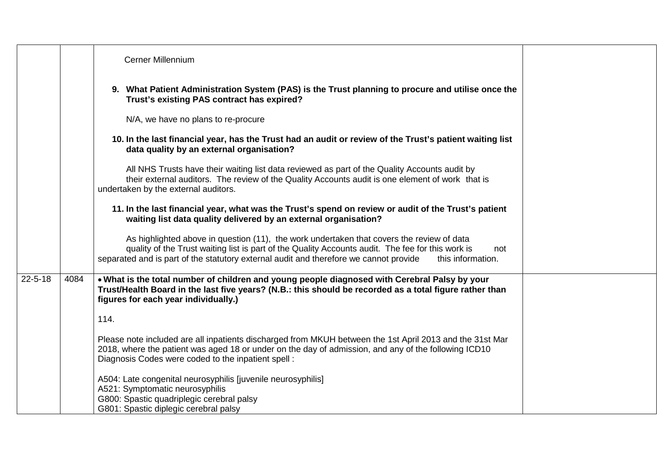|               |      | Cerner Millennium                                                                                                                                                                                                                                                                                                   |  |
|---------------|------|---------------------------------------------------------------------------------------------------------------------------------------------------------------------------------------------------------------------------------------------------------------------------------------------------------------------|--|
|               |      | 9. What Patient Administration System (PAS) is the Trust planning to procure and utilise once the<br>Trust's existing PAS contract has expired?                                                                                                                                                                     |  |
|               |      | N/A, we have no plans to re-procure                                                                                                                                                                                                                                                                                 |  |
|               |      | 10. In the last financial year, has the Trust had an audit or review of the Trust's patient waiting list<br>data quality by an external organisation?                                                                                                                                                               |  |
|               |      | All NHS Trusts have their waiting list data reviewed as part of the Quality Accounts audit by<br>their external auditors. The review of the Quality Accounts audit is one element of work that is<br>undertaken by the external auditors.                                                                           |  |
|               |      | 11. In the last financial year, what was the Trust's spend on review or audit of the Trust's patient<br>waiting list data quality delivered by an external organisation?                                                                                                                                            |  |
|               |      | As highlighted above in question (11), the work undertaken that covers the review of data<br>quality of the Trust waiting list is part of the Quality Accounts audit. The fee for this work is<br>not<br>separated and is part of the statutory external audit and therefore we cannot provide<br>this information. |  |
| $22 - 5 - 18$ | 4084 | . What is the total number of children and young people diagnosed with Cerebral Palsy by your<br>Trust/Health Board in the last five years? (N.B.: this should be recorded as a total figure rather than<br>figures for each year individually.)                                                                    |  |
|               |      | 114.                                                                                                                                                                                                                                                                                                                |  |
|               |      | Please note included are all inpatients discharged from MKUH between the 1st April 2013 and the 31st Mar<br>2018, where the patient was aged 18 or under on the day of admission, and any of the following ICD10<br>Diagnosis Codes were coded to the inpatient spell:                                              |  |
|               |      | A504: Late congenital neurosyphilis [juvenile neurosyphilis]<br>A521: Symptomatic neurosyphilis<br>G800: Spastic quadriplegic cerebral palsy<br>G801: Spastic diplegic cerebral palsy                                                                                                                               |  |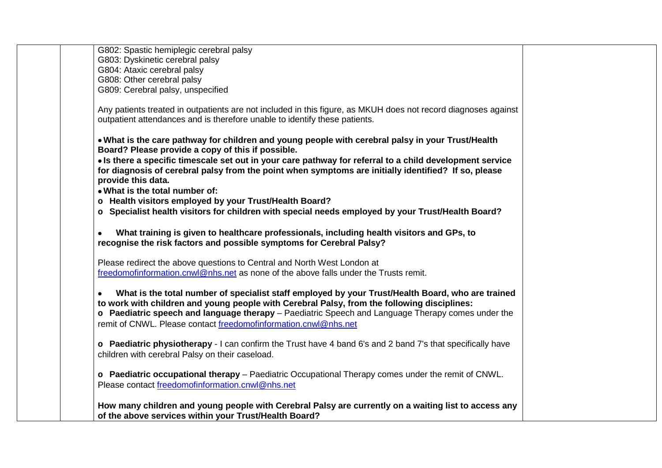| G802: Spastic hemiplegic cerebral palsy                                                                        |
|----------------------------------------------------------------------------------------------------------------|
| G803: Dyskinetic cerebral palsy                                                                                |
| G804: Ataxic cerebral palsy                                                                                    |
| G808: Other cerebral palsy                                                                                     |
| G809: Cerebral palsy, unspecified                                                                              |
|                                                                                                                |
| Any patients treated in outpatients are not included in this figure, as MKUH does not record diagnoses against |
| outpatient attendances and is therefore unable to identify these patients.                                     |
|                                                                                                                |
| . What is the care pathway for children and young people with cerebral palsy in your Trust/Health              |
| Board? Please provide a copy of this if possible.                                                              |
| • Is there a specific timescale set out in your care pathway for referral to a child development service       |
| for diagnosis of cerebral palsy from the point when symptoms are initially identified? If so, please           |
| provide this data.                                                                                             |
| . What is the total number of:                                                                                 |
| o Health visitors employed by your Trust/Health Board?                                                         |
| o Specialist health visitors for children with special needs employed by your Trust/Health Board?              |
|                                                                                                                |
| What training is given to healthcare professionals, including health visitors and GPs, to                      |
| recognise the risk factors and possible symptoms for Cerebral Palsy?                                           |
|                                                                                                                |
| Please redirect the above questions to Central and North West London at                                        |
| freedomofinformation.cnwl@nhs.net as none of the above falls under the Trusts remit.                           |
|                                                                                                                |
| What is the total number of specialist staff employed by your Trust/Health Board, who are trained              |
| to work with children and young people with Cerebral Palsy, from the following disciplines:                    |
| o Paediatric speech and language therapy - Paediatric Speech and Language Therapy comes under the              |
| remit of CNWL. Please contact freedomofinformation.cnwl@nhs.net                                                |
|                                                                                                                |
| o Paediatric physiotherapy - I can confirm the Trust have 4 band 6's and 2 band 7's that specifically have     |
| children with cerebral Palsy on their caseload.                                                                |
|                                                                                                                |
| o Paediatric occupational therapy - Paediatric Occupational Therapy comes under the remit of CNWL.             |
| Please contact freedomofinformation.cnwl@nhs.net                                                               |
|                                                                                                                |
| How many children and young people with Cerebral Palsy are currently on a waiting list to access any           |
| of the above services within your Trust/Health Board?                                                          |
|                                                                                                                |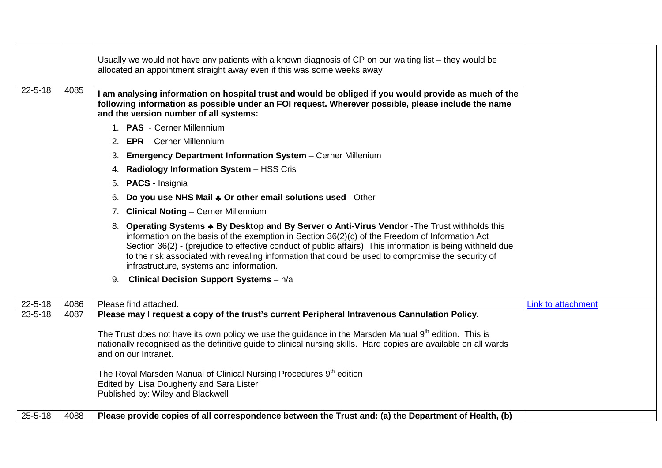|               |      | Usually we would not have any patients with a known diagnosis of CP on our waiting list – they would be<br>allocated an appointment straight away even if this was some weeks away                                                                                                                                                                                                                                                                                         |                           |
|---------------|------|----------------------------------------------------------------------------------------------------------------------------------------------------------------------------------------------------------------------------------------------------------------------------------------------------------------------------------------------------------------------------------------------------------------------------------------------------------------------------|---------------------------|
| $22 - 5 - 18$ | 4085 | I am analysing information on hospital trust and would be obliged if you would provide as much of the<br>following information as possible under an FOI request. Wherever possible, please include the name<br>and the version number of all systems:                                                                                                                                                                                                                      |                           |
|               |      | 1. PAS - Cerner Millennium                                                                                                                                                                                                                                                                                                                                                                                                                                                 |                           |
|               |      | <b>EPR</b> - Cerner Millennium                                                                                                                                                                                                                                                                                                                                                                                                                                             |                           |
|               |      | <b>Emergency Department Information System - Cerner Millenium</b><br>3.                                                                                                                                                                                                                                                                                                                                                                                                    |                           |
|               |      | Radiology Information System - HSS Cris<br>4.                                                                                                                                                                                                                                                                                                                                                                                                                              |                           |
|               |      | <b>PACS</b> - Insignia<br>5.                                                                                                                                                                                                                                                                                                                                                                                                                                               |                           |
|               |      | Do you use NHS Mail $\clubsuit$ Or other email solutions used - Other<br>6.                                                                                                                                                                                                                                                                                                                                                                                                |                           |
|               |      | <b>Clinical Noting - Cerner Millennium</b><br>7.                                                                                                                                                                                                                                                                                                                                                                                                                           |                           |
|               |      | 8. Operating Systems $\clubsuit$ By Desktop and By Server o Anti-Virus Vendor - The Trust withholds this<br>information on the basis of the exemption in Section 36(2)(c) of the Freedom of Information Act<br>Section 36(2) - (prejudice to effective conduct of public affairs) This information is being withheld due<br>to the risk associated with revealing information that could be used to compromise the security of<br>infrastructure, systems and information. |                           |
|               |      | <b>Clinical Decision Support Systems</b> - n/a<br>9.                                                                                                                                                                                                                                                                                                                                                                                                                       |                           |
| $22 - 5 - 18$ | 4086 | Please find attached.                                                                                                                                                                                                                                                                                                                                                                                                                                                      | <b>Link to attachment</b> |
| $23 - 5 - 18$ | 4087 | Please may I request a copy of the trust's current Peripheral Intravenous Cannulation Policy.                                                                                                                                                                                                                                                                                                                                                                              |                           |
|               |      | The Trust does not have its own policy we use the guidance in the Marsden Manual 9 <sup>th</sup> edition. This is<br>nationally recognised as the definitive guide to clinical nursing skills. Hard copies are available on all wards<br>and on our Intranet.                                                                                                                                                                                                              |                           |
|               |      | The Royal Marsden Manual of Clinical Nursing Procedures 9 <sup>th</sup> edition<br>Edited by: Lisa Dougherty and Sara Lister<br>Published by: Wiley and Blackwell                                                                                                                                                                                                                                                                                                          |                           |
| $25 - 5 - 18$ | 4088 | Please provide copies of all correspondence between the Trust and: (a) the Department of Health, (b)                                                                                                                                                                                                                                                                                                                                                                       |                           |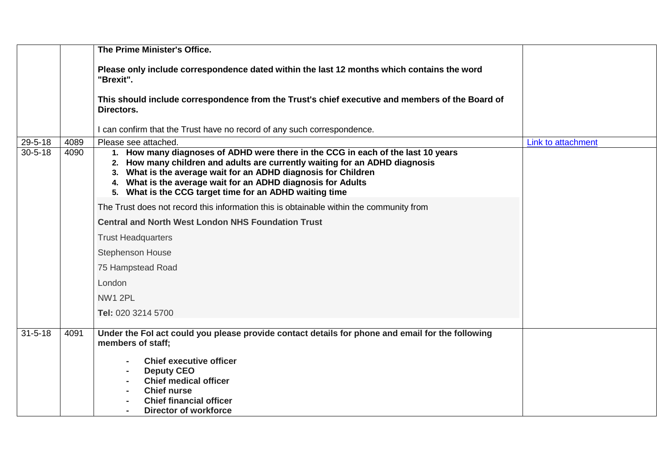|               |      | The Prime Minister's Office.                                                                                                                                                                                                                                                                                                                                 |                    |
|---------------|------|--------------------------------------------------------------------------------------------------------------------------------------------------------------------------------------------------------------------------------------------------------------------------------------------------------------------------------------------------------------|--------------------|
|               |      |                                                                                                                                                                                                                                                                                                                                                              |                    |
|               |      | Please only include correspondence dated within the last 12 months which contains the word<br>"Brexit".                                                                                                                                                                                                                                                      |                    |
|               |      | This should include correspondence from the Trust's chief executive and members of the Board of<br>Directors.                                                                                                                                                                                                                                                |                    |
|               |      | I can confirm that the Trust have no record of any such correspondence.                                                                                                                                                                                                                                                                                      |                    |
| $29 - 5 - 18$ | 4089 | Please see attached.                                                                                                                                                                                                                                                                                                                                         | Link to attachment |
| $30 - 5 - 18$ | 4090 | 1. How many diagnoses of ADHD were there in the CCG in each of the last 10 years<br>2. How many children and adults are currently waiting for an ADHD diagnosis<br>3. What is the average wait for an ADHD diagnosis for Children<br>4. What is the average wait for an ADHD diagnosis for Adults<br>5. What is the CCG target time for an ADHD waiting time |                    |
|               |      | The Trust does not record this information this is obtainable within the community from                                                                                                                                                                                                                                                                      |                    |
|               |      | <b>Central and North West London NHS Foundation Trust</b>                                                                                                                                                                                                                                                                                                    |                    |
|               |      | <b>Trust Headquarters</b>                                                                                                                                                                                                                                                                                                                                    |                    |
|               |      | <b>Stephenson House</b>                                                                                                                                                                                                                                                                                                                                      |                    |
|               |      | 75 Hampstead Road                                                                                                                                                                                                                                                                                                                                            |                    |
|               |      | London                                                                                                                                                                                                                                                                                                                                                       |                    |
|               |      | <b>NW1 2PL</b>                                                                                                                                                                                                                                                                                                                                               |                    |
|               |      | Tel: 020 3214 5700                                                                                                                                                                                                                                                                                                                                           |                    |
| $31 - 5 - 18$ | 4091 | Under the Fol act could you please provide contact details for phone and email for the following<br>members of staff;                                                                                                                                                                                                                                        |                    |
|               |      | <b>Chief executive officer</b><br><b>Deputy CEO</b><br><b>Chief medical officer</b><br><b>Chief nurse</b><br><b>Chief financial officer</b><br><b>Director of workforce</b>                                                                                                                                                                                  |                    |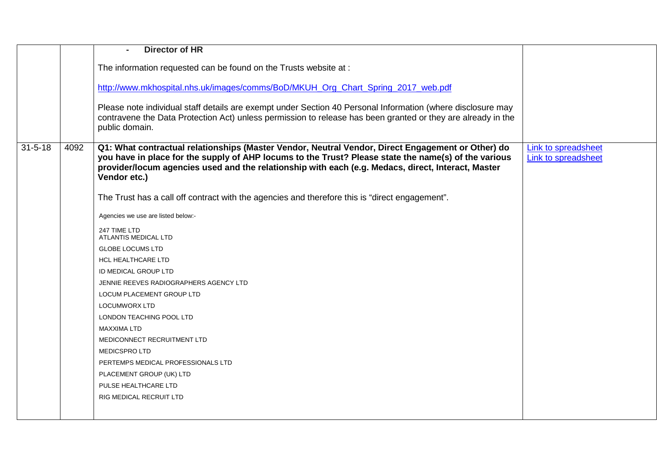|               |      | <b>Director of HR</b>                                                                                                                                                                                                                                                                                                           |                                                   |
|---------------|------|---------------------------------------------------------------------------------------------------------------------------------------------------------------------------------------------------------------------------------------------------------------------------------------------------------------------------------|---------------------------------------------------|
|               |      | The information requested can be found on the Trusts website at :                                                                                                                                                                                                                                                               |                                                   |
|               |      |                                                                                                                                                                                                                                                                                                                                 |                                                   |
|               |      | http://www.mkhospital.nhs.uk/images/comms/BoD/MKUH Org Chart Spring 2017 web.pdf                                                                                                                                                                                                                                                |                                                   |
|               |      | Please note individual staff details are exempt under Section 40 Personal Information (where disclosure may<br>contravene the Data Protection Act) unless permission to release has been granted or they are already in the<br>public domain.                                                                                   |                                                   |
| $31 - 5 - 18$ | 4092 | Q1: What contractual relationships (Master Vendor, Neutral Vendor, Direct Engagement or Other) do<br>you have in place for the supply of AHP locums to the Trust? Please state the name(s) of the various<br>provider/locum agencies used and the relationship with each (e.g. Medacs, direct, Interact, Master<br>Vendor etc.) | <b>Link to spreadsheet</b><br>Link to spreadsheet |
|               |      | The Trust has a call off contract with the agencies and therefore this is "direct engagement".                                                                                                                                                                                                                                  |                                                   |
|               |      | Agencies we use are listed below:-                                                                                                                                                                                                                                                                                              |                                                   |
|               |      | 247 TIME LTD<br>ATLANTIS MEDICAL LTD                                                                                                                                                                                                                                                                                            |                                                   |
|               |      | <b>GLOBE LOCUMS LTD</b>                                                                                                                                                                                                                                                                                                         |                                                   |
|               |      | <b>HCL HEALTHCARE LTD</b>                                                                                                                                                                                                                                                                                                       |                                                   |
|               |      | ID MEDICAL GROUP LTD                                                                                                                                                                                                                                                                                                            |                                                   |
|               |      | JENNIE REEVES RADIOGRAPHERS AGENCY LTD                                                                                                                                                                                                                                                                                          |                                                   |
|               |      | LOCUM PLACEMENT GROUP LTD                                                                                                                                                                                                                                                                                                       |                                                   |
|               |      | <b>LOCUMWORX LTD</b>                                                                                                                                                                                                                                                                                                            |                                                   |
|               |      | LONDON TEACHING POOL LTD                                                                                                                                                                                                                                                                                                        |                                                   |
|               |      | <b>MAXXIMA LTD</b>                                                                                                                                                                                                                                                                                                              |                                                   |
|               |      | MEDICONNECT RECRUITMENT LTD                                                                                                                                                                                                                                                                                                     |                                                   |
|               |      | <b>MEDICSPROLTD</b>                                                                                                                                                                                                                                                                                                             |                                                   |
|               |      | PERTEMPS MEDICAL PROFESSIONALS LTD                                                                                                                                                                                                                                                                                              |                                                   |
|               |      | PLACEMENT GROUP (UK) LTD                                                                                                                                                                                                                                                                                                        |                                                   |
|               |      | PULSE HEALTHCARE LTD                                                                                                                                                                                                                                                                                                            |                                                   |
|               |      | RIG MEDICAL RECRUIT LTD                                                                                                                                                                                                                                                                                                         |                                                   |
|               |      |                                                                                                                                                                                                                                                                                                                                 |                                                   |